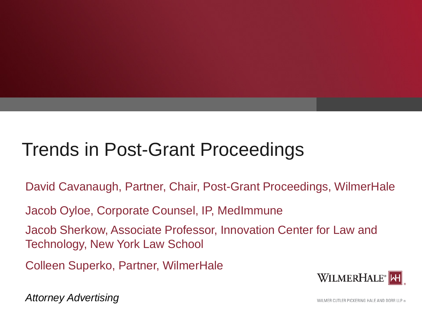# Trends in Post-Grant Proceedings

David Cavanaugh, Partner, Chair, Post-Grant Proceedings, WilmerHale

Jacob Oyloe, Corporate Counsel, IP, MedImmune

Jacob Sherkow, Associate Professor, Innovation Center for Law and Technology, New York Law School

Colleen Superko, Partner, WilmerHale



*Attorney Advertising*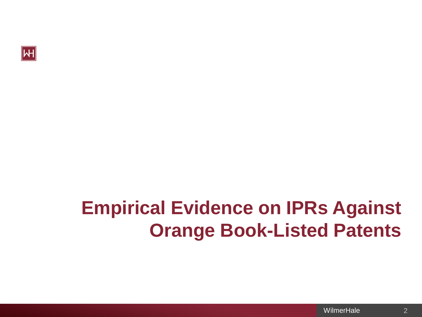

# **Empirical Evidence on IPRs Against Orange Book-Listed Patents**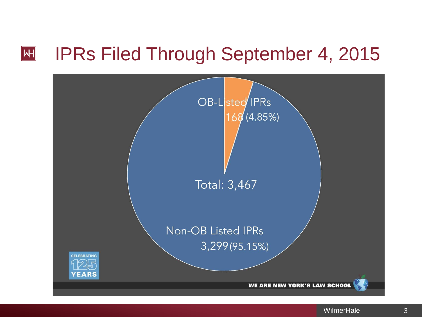#### IPRs Filed Through September 4, 2015  $\vert H \vert$

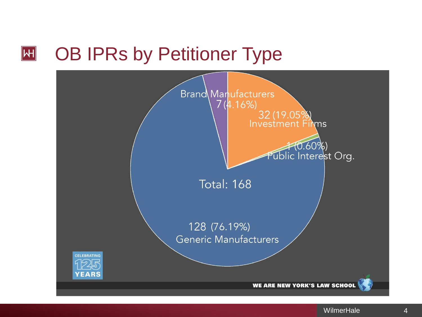#### OB IPRs by Petitioner Type  $\vert H \vert$

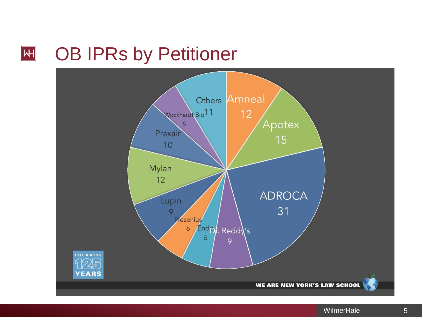#### OB IPRs by Petitioner  $\boxed{\mathsf{H}}$

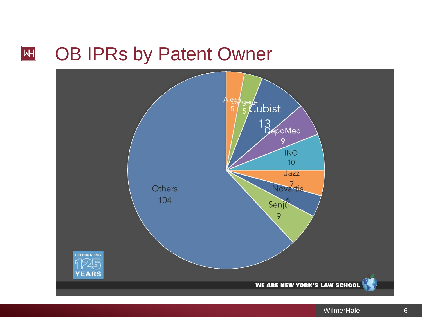#### $\boxed{\mathsf{H}}$ OB IPRs by Patent Owner

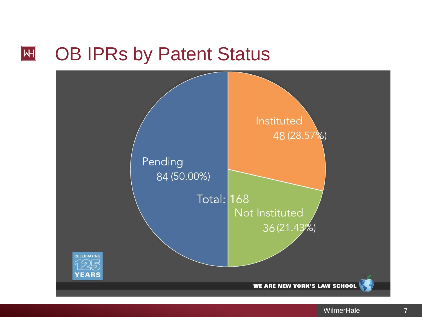#### OB IPRs by Patent Status **H**

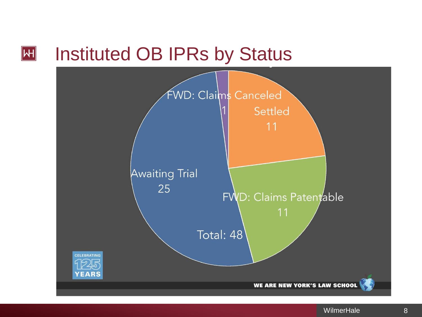#### Instituted OB IPRs by Status  $\vert H \vert$

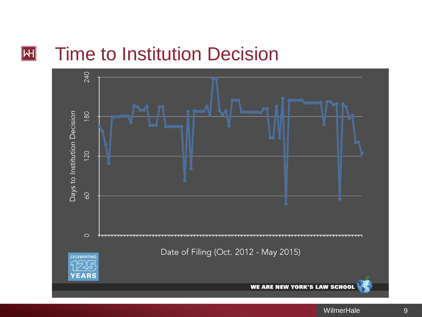#### Time to Institution Decision  $\vert H \vert$

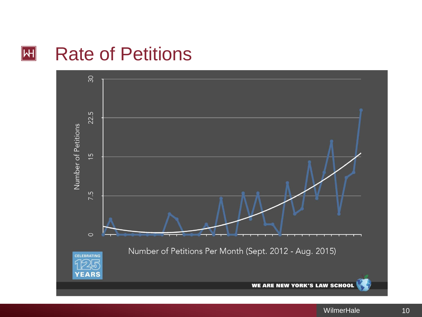#### Rate of Petitions  $\vert H \vert$

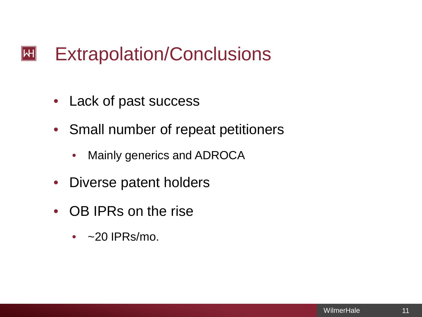#### Extrapolation/Conclusions  $|\mathsf{H}|$

- Lack of past success
- Small number of repeat petitioners
	- Mainly generics and ADROCA
- Diverse patent holders
- OB IPRs on the rise
	- $\cdot$  ~20 IPRs/mo.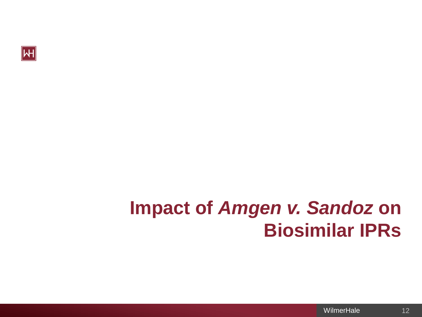

## **Impact of** *Amgen v. Sandoz* **on Biosimilar IPRs**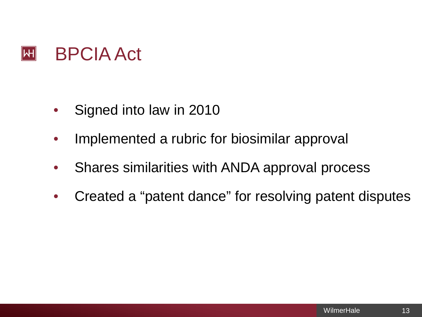

- Signed into law in 2010
- Implemented a rubric for biosimilar approval
- Shares similarities with ANDA approval process
- Created a "patent dance" for resolving patent disputes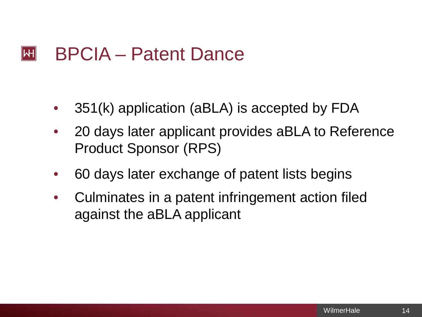#### $\left\| \mathsf{H} \right\|$ BPCIA – Patent Dance

- 351(k) application (aBLA) is accepted by FDA
- 20 days later applicant provides aBLA to Reference Product Sponsor (RPS)
- 60 days later exchange of patent lists begins
- Culminates in a patent infringement action filed against the aBLA applicant

14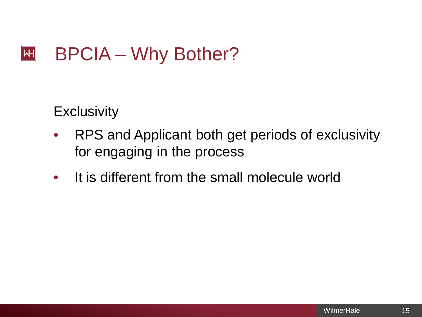#### $|\mathsf{H}|$ BPCIA – Why Bother?

**Exclusivity** 

- RPS and Applicant both get periods of exclusivity for engaging in the process
- It is different from the small molecule world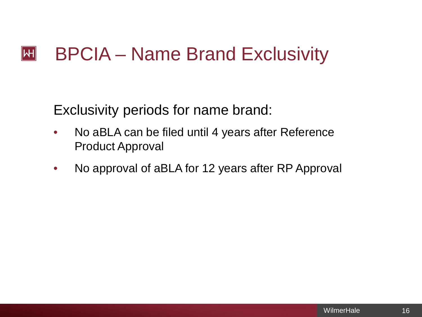#### BPCIA – Name Brand Exclusivity  $|\mathsf{H}|$

Exclusivity periods for name brand:

- No aBLA can be filed until 4 years after Reference Product Approval
- No approval of aBLA for 12 years after RP Approval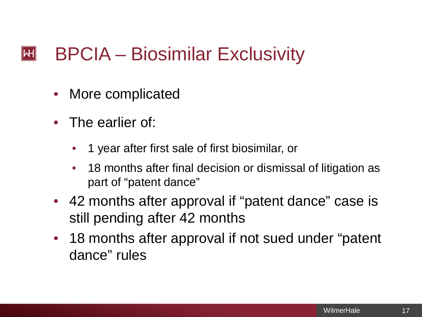#### BPCIA – Biosimilar Exclusivity  $\left\Vert \mathsf{H}\right\Vert$

- More complicated
- The earlier of:
	- 1 year after first sale of first biosimilar, or
	- 18 months after final decision or dismissal of litigation as part of "patent dance"
- 42 months after approval if "patent dance" case is still pending after 42 months
- 18 months after approval if not sued under "patent dance" rules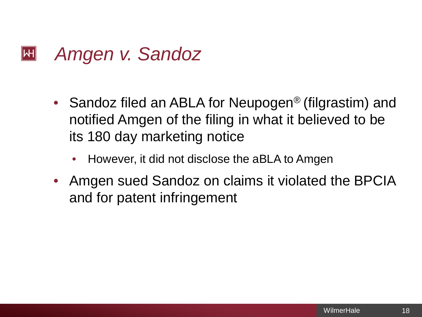#### *Amgen v. Sandoz*  $\left\Vert \mathsf{H}\right\Vert$

- Sandoz filed an ABLA for Neupogen<sup>®</sup> (filgrastim) and notified Amgen of the filing in what it believed to be its 180 day marketing notice
	- However, it did not disclose the aBLA to Amgen
- Amgen sued Sandoz on claims it violated the BPCIA and for patent infringement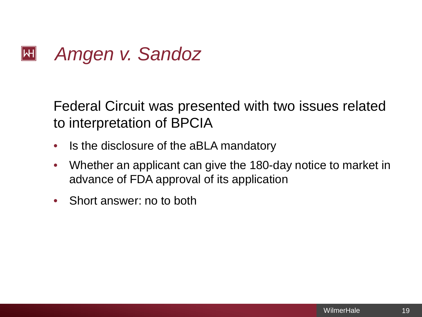#### *Amgen v. Sandoz*  $|\mathsf{H}|$

Federal Circuit was presented with two issues related to interpretation of BPCIA

- Is the disclosure of the aBLA mandatory
- Whether an applicant can give the 180-day notice to market in advance of FDA approval of its application
- Short answer: no to both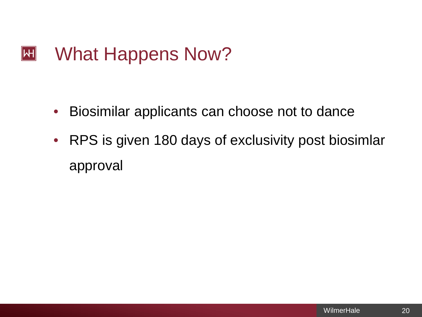#### $\mathbf{H}$ What Happens Now?

- Biosimilar applicants can choose not to dance
- RPS is given 180 days of exclusivity post biosimlar approval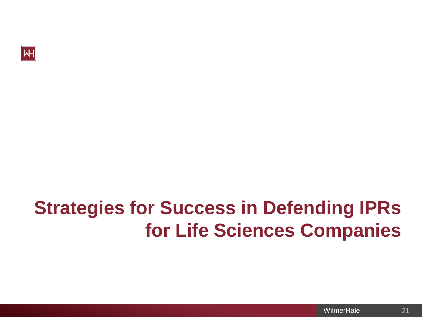

# **Strategies for Success in Defending IPRs for Life Sciences Companies**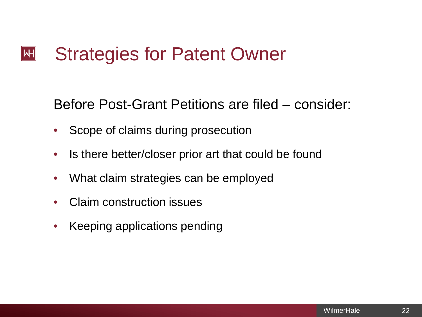Before Post-Grant Petitions are filed – consider:

- Scope of claims during prosecution
- Is there better/closer prior art that could be found
- What claim strategies can be employed
- Claim construction issues
- Keeping applications pending

22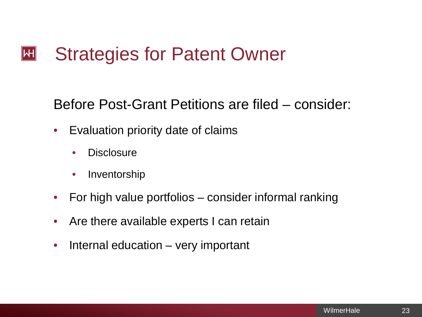Before Post-Grant Petitions are filed – consider:

- Evaluation priority date of claims
	- **Disclosure**
	- Inventorship
- For high value portfolios consider informal ranking
- Are there available experts I can retain
- Internal education very important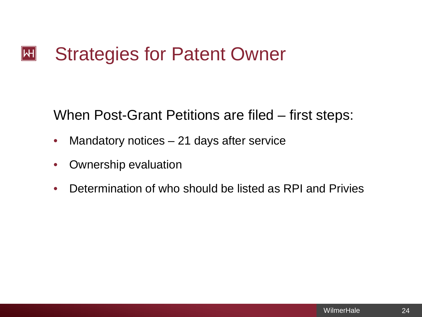#### Strategies for Patent Owner  $|\mathsf{H}|$

When Post-Grant Petitions are filed – first steps:

- Mandatory notices  $-21$  days after service
- Ownership evaluation
- Determination of who should be listed as RPI and Privies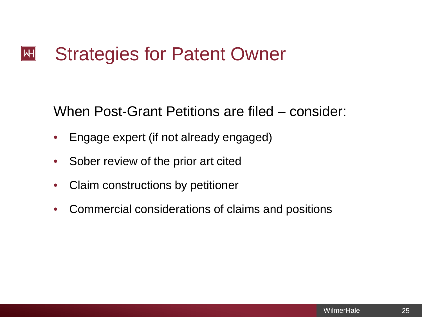When Post-Grant Petitions are filed – consider:

- Engage expert (if not already engaged)
- Sober review of the prior art cited
- Claim constructions by petitioner
- Commercial considerations of claims and positions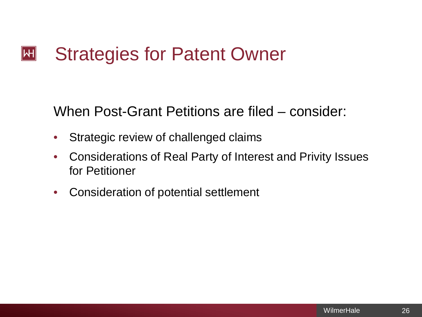When Post-Grant Petitions are filed – consider:

- Strategic review of challenged claims
- Considerations of Real Party of Interest and Privity Issues for Petitioner
- Consideration of potential settlement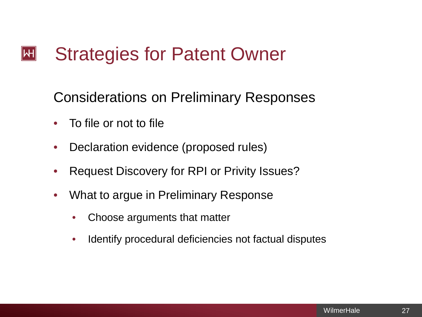Considerations on Preliminary Responses

- To file or not to file
- Declaration evidence (proposed rules)
- Request Discovery for RPI or Privity Issues?
- What to argue in Preliminary Response
	- Choose arguments that matter
	- Identify procedural deficiencies not factual disputes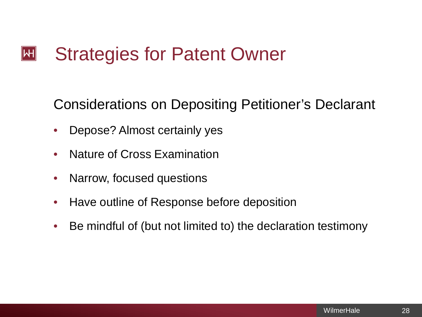Considerations on Depositing Petitioner's Declarant

- Depose? Almost certainly yes
- Nature of Cross Examination
- Narrow, focused questions
- Have outline of Response before deposition
- Be mindful of (but not limited to) the declaration testimony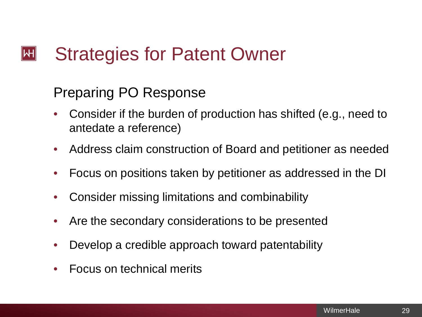### Preparing PO Response

- Consider if the burden of production has shifted (e.g., need to antedate a reference)
- Address claim construction of Board and petitioner as needed
- Focus on positions taken by petitioner as addressed in the DI
- Consider missing limitations and combinability
- Are the secondary considerations to be presented
- Develop a credible approach toward patentability
- Focus on technical merits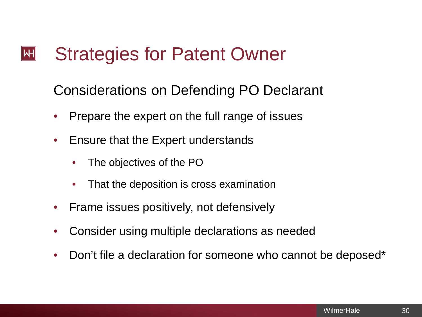### Considerations on Defending PO Declarant

- Prepare the expert on the full range of issues
- Ensure that the Expert understands
	- The objectives of the PO
	- That the deposition is cross examination
- Frame issues positively, not defensively
- Consider using multiple declarations as needed
- Don't file a declaration for someone who cannot be deposed\*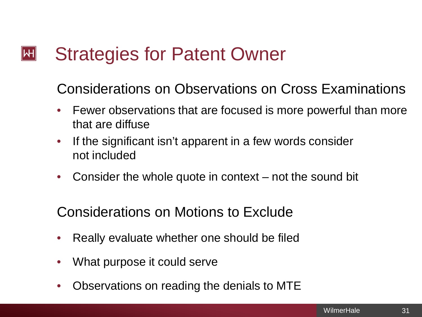Considerations on Observations on Cross Examinations

- Fewer observations that are focused is more powerful than more that are diffuse
- If the significant isn't apparent in a few words consider not included
- Consider the whole quote in context not the sound bit

Considerations on Motions to Exclude

- Really evaluate whether one should be filed
- What purpose it could serve
- Observations on reading the denials to MTE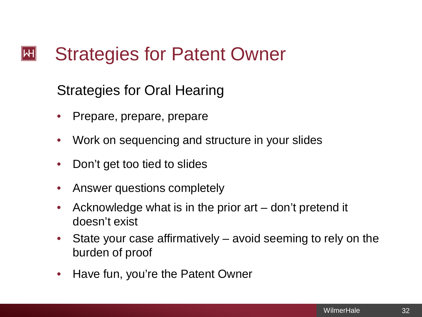### Strategies for Oral Hearing

- Prepare, prepare, prepare
- Work on sequencing and structure in your slides
- Don't get too tied to slides
- Answer questions completely
- Acknowledge what is in the prior art don't pretend it doesn't exist
- State your case affirmatively avoid seeming to rely on the burden of proof
- Have fun, you're the Patent Owner